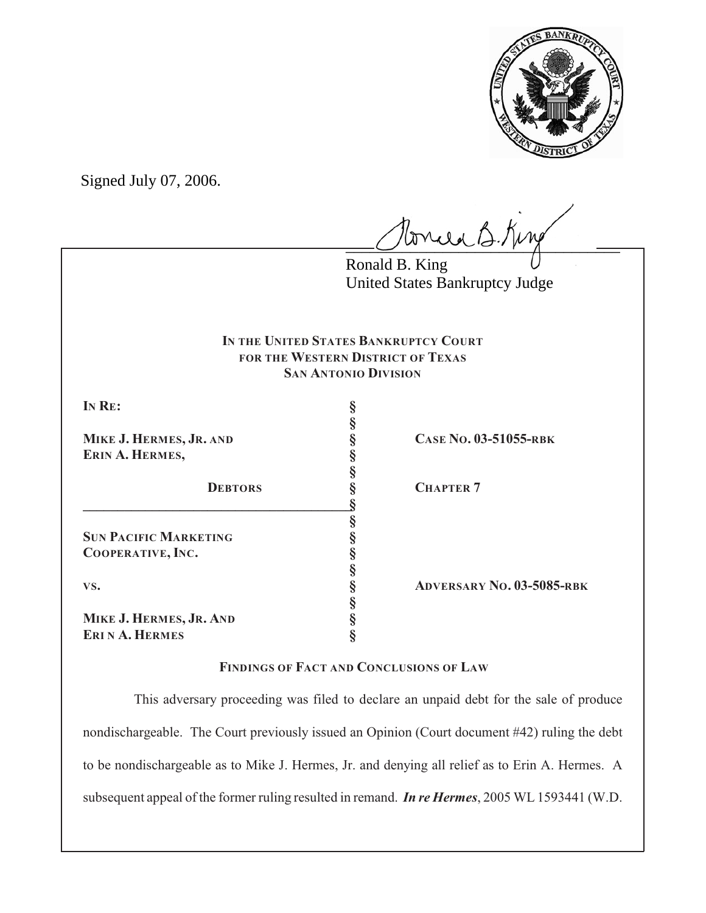

Signed July 07, 2006.

tonie B. King

Ronald B. King United States Bankruptcy Judge

## **IN THE UNITED STATES BANKRUPTCY COURT FOR THE WESTERN DISTRICT OF TEXAS SAN ANTONIO DIVISION**

**§**

**§**

**§**

**§**

**§**

**IN RE: §**

**MIKE J. HERMES, JR. AND § CASE NO. 03-51055-RBK ERIN A. HERMES, §**

**\_\_\_\_\_\_\_\_\_\_\_\_\_\_\_\_\_\_\_\_\_\_\_\_\_\_\_\_\_\_\_\_\_\_\_\_\_\_\_§ SUN PACIFIC MARKETING § COOPERATIVE, INC. § VS. § ADVERSARY NO. 03-5085-RBK MIKE J. HERMES, JR. AND §**

**ERI N A. HERMES §**

**DEBTORS § CHAPTER 7**

**FINDINGS OF FACT AND CONCLUSIONS OF LAW**

 This adversary proceeding was filed to declare an unpaid debt for the sale of produce nondischargeable. The Court previously issued an Opinion (Court document #42) ruling the debt to be nondischargeable as to Mike J. Hermes, Jr. and denying all relief as to Erin A. Hermes. A subsequent appeal of the former ruling resulted in remand. *In re Hermes*, 2005 WL 1593441 (W.D.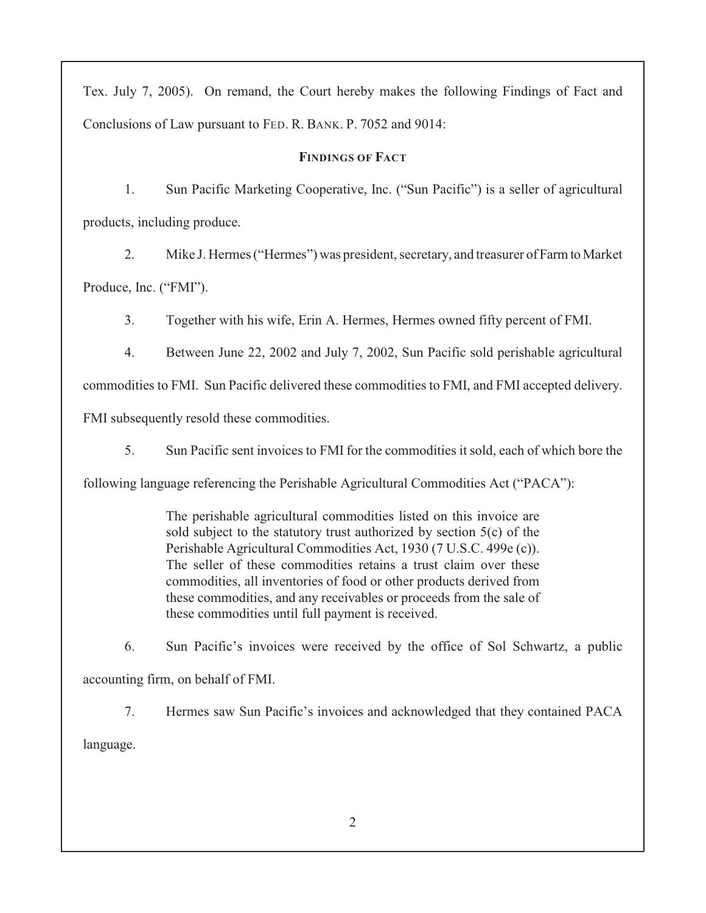Tex. July 7, 2005). On remand, the Court hereby makes the following Findings of Fact and Conclusions of Law pursuant to FED. R. BANK. P. 7052 and 9014:

## **FINDINGS OF FACT**

1. Sun Pacific Marketing Cooperative, Inc. ("Sun Pacific") is a seller of agricultural products, including produce.

2. Mike J. Hermes ("Hermes") was president, secretary, and treasurer of Farm to Market Produce, Inc. ("FMI").

3. Together with his wife, Erin A. Hermes, Hermes owned fifty percent of FMI.

4. Between June 22, 2002 and July 7, 2002, Sun Pacific sold perishable agricultural

commodities to FMI. Sun Pacific delivered these commodities to FMI, and FMI accepted delivery.

FMI subsequently resold these commodities.

5. Sun Pacific sent invoices to FMI for the commodities it sold, each of which bore the

following language referencing the Perishable Agricultural Commodities Act ("PACA"):

The perishable agricultural commodities listed on this invoice are sold subject to the statutory trust authorized by section 5(c) of the Perishable Agricultural Commodities Act, 1930 (7 U.S.C. 499e (c)). The seller of these commodities retains a trust claim over these commodities, all inventories of food or other products derived from these commodities, and any receivables or proceeds from the sale of these commodities until full payment is received.

6. Sun Pacific's invoices were received by the office of Sol Schwartz, a public accounting firm, on behalf of FMI.

7. Hermes saw Sun Pacific's invoices and acknowledged that they contained PACA language.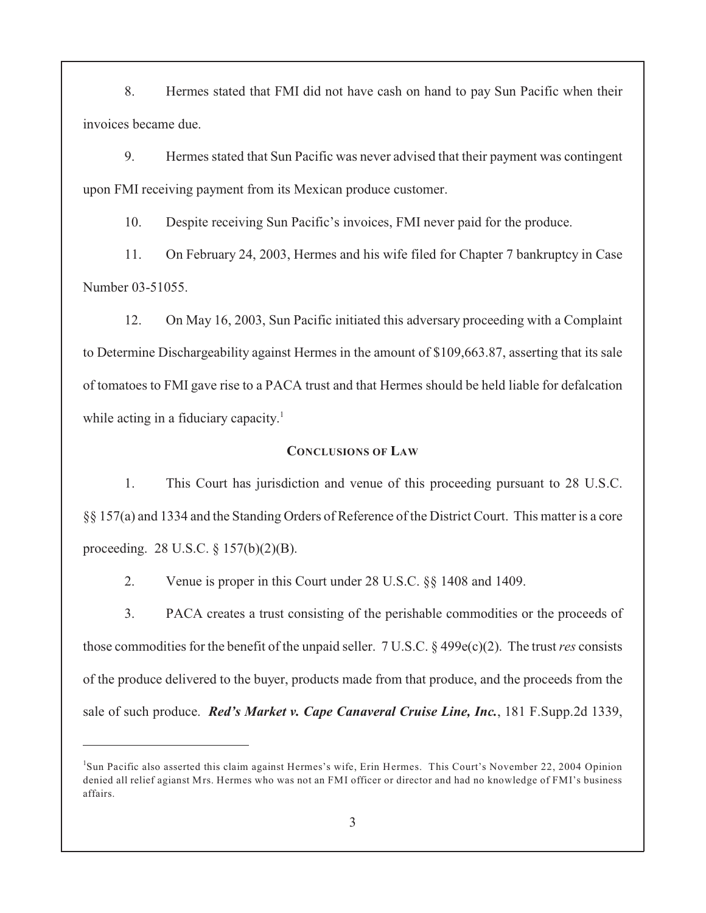8. Hermes stated that FMI did not have cash on hand to pay Sun Pacific when their invoices became due.

9. Hermes stated that Sun Pacific was never advised that their payment was contingent upon FMI receiving payment from its Mexican produce customer.

10. Despite receiving Sun Pacific's invoices, FMI never paid for the produce.

11. On February 24, 2003, Hermes and his wife filed for Chapter 7 bankruptcy in Case Number 03-51055.

12. On May 16, 2003, Sun Pacific initiated this adversary proceeding with a Complaint to Determine Dischargeability against Hermes in the amount of \$109,663.87, asserting that its sale of tomatoes to FMI gave rise to a PACA trust and that Hermes should be held liable for defalcation while acting in a fiduciary capacity.<sup>1</sup>

## **CONCLUSIONS OF LAW**

1. This Court has jurisdiction and venue of this proceeding pursuant to 28 U.S.C. §§ 157(a) and 1334 and the Standing Orders of Reference of the District Court. This matter is a core proceeding. 28 U.S.C. § 157(b)(2)(B).

2. Venue is proper in this Court under 28 U.S.C. §§ 1408 and 1409.

3. PACA creates a trust consisting of the perishable commodities or the proceeds of those commodities for the benefit of the unpaid seller. 7 U.S.C. § 499e(c)(2). The trust *res* consists of the produce delivered to the buyer, products made from that produce, and the proceeds from the sale of such produce. *Red's Market v. Cape Canaveral Cruise Line, Inc.*, 181 F.Supp.2d 1339,

<sup>&</sup>lt;sup>1</sup>Sun Pacific also asserted this claim against Hermes's wife, Erin Hermes. This Court's November 22, 2004 Opinion denied all relief agianst Mrs. Hermes who was not an FMI officer or director and had no knowledge of FMI's business affairs.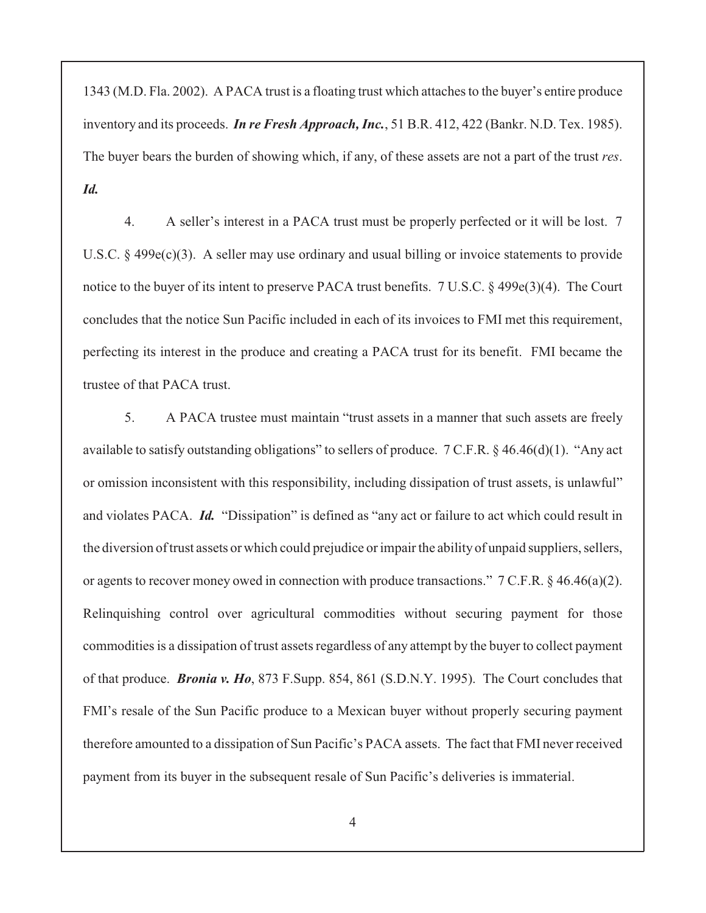1343 (M.D. Fla. 2002). A PACA trust is a floating trust which attaches to the buyer's entire produce inventory and its proceeds. *In re Fresh Approach, Inc.*, 51 B.R. 412, 422 (Bankr. N.D. Tex. 1985). The buyer bears the burden of showing which, if any, of these assets are not a part of the trust *res*. *Id.*

4. A seller's interest in a PACA trust must be properly perfected or it will be lost. 7 U.S.C. § 499e(c)(3). A seller may use ordinary and usual billing or invoice statements to provide notice to the buyer of its intent to preserve PACA trust benefits. 7 U.S.C. § 499e(3)(4). The Court concludes that the notice Sun Pacific included in each of its invoices to FMI met this requirement, perfecting its interest in the produce and creating a PACA trust for its benefit. FMI became the trustee of that PACA trust.

5. A PACA trustee must maintain "trust assets in a manner that such assets are freely available to satisfy outstanding obligations" to sellers of produce. 7 C.F.R. § 46.46(d)(1). "Any act or omission inconsistent with this responsibility, including dissipation of trust assets, is unlawful" and violates PACA. *Id.* "Dissipation" is defined as "any act or failure to act which could result in the diversion oftrust assets orwhich could prejudice or impair the ability of unpaid suppliers, sellers, or agents to recover money owed in connection with produce transactions."  $7 \text{ C.F.R.}$  § 46.46(a)(2). Relinquishing control over agricultural commodities without securing payment for those commodities is a dissipation of trust assets regardless of any attempt by the buyer to collect payment of that produce. *Bronia v. Ho*, 873 F.Supp. 854, 861 (S.D.N.Y. 1995). The Court concludes that FMI's resale of the Sun Pacific produce to a Mexican buyer without properly securing payment therefore amounted to a dissipation of Sun Pacific's PACA assets. The fact that FMI never received payment from its buyer in the subsequent resale of Sun Pacific's deliveries is immaterial.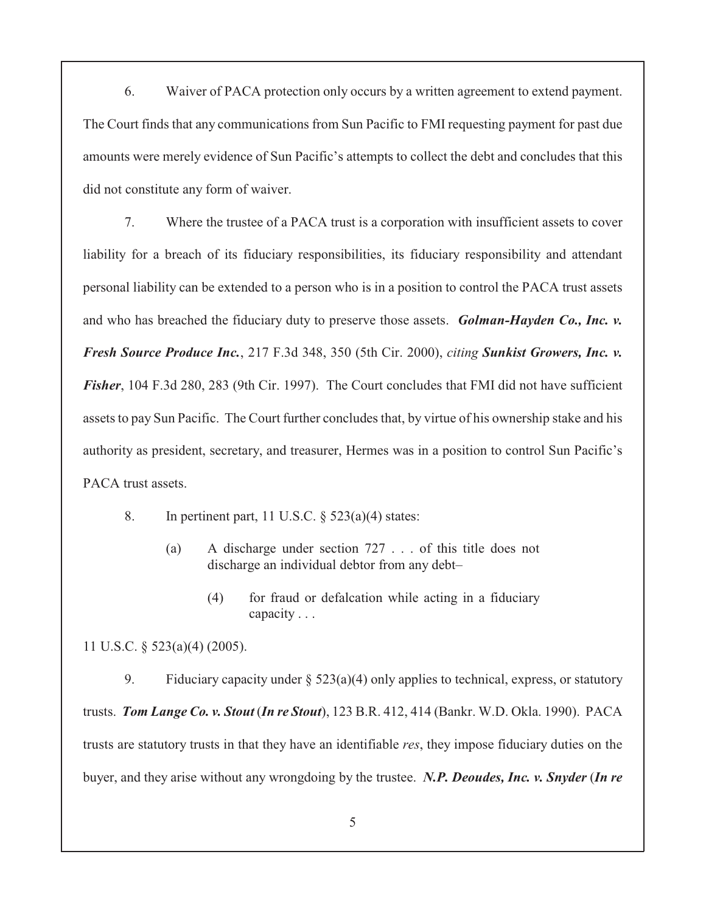6. Waiver of PACA protection only occurs by a written agreement to extend payment. The Court finds that any communications from Sun Pacific to FMI requesting payment for past due amounts were merely evidence of Sun Pacific's attempts to collect the debt and concludes that this did not constitute any form of waiver.

7. Where the trustee of a PACA trust is a corporation with insufficient assets to cover liability for a breach of its fiduciary responsibilities, its fiduciary responsibility and attendant personal liability can be extended to a person who is in a position to control the PACA trust assets and who has breached the fiduciary duty to preserve those assets. *Golman-Hayden Co., Inc. v. Fresh Source Produce Inc.*, 217 F.3d 348, 350 (5th Cir. 2000), *citing Sunkist Growers, Inc. v. Fisher*, 104 F.3d 280, 283 (9th Cir. 1997). The Court concludes that FMI did not have sufficient assets to pay Sun Pacific. The Court further concludes that, by virtue of his ownership stake and his authority as president, secretary, and treasurer, Hermes was in a position to control Sun Pacific's PACA trust assets.

- 8. In pertinent part, 11 U.S.C.  $\S$  523(a)(4) states:
	- (a) A discharge under section 727 . . . of this title does not discharge an individual debtor from any debt–
		- (4) for fraud or defalcation while acting in a fiduciary capacity . . .

11 U.S.C. § 523(a)(4) (2005).

9. Fiduciary capacity under  $\S 523(a)(4)$  only applies to technical, express, or statutory trusts. *Tom Lange Co. v. Stout* (*In re Stout*), 123 B.R. 412, 414 (Bankr. W.D. Okla. 1990). PACA trusts are statutory trusts in that they have an identifiable *res*, they impose fiduciary duties on the buyer, and they arise without any wrongdoing by the trustee. *N.P. Deoudes, Inc. v. Snyder* (*In re*